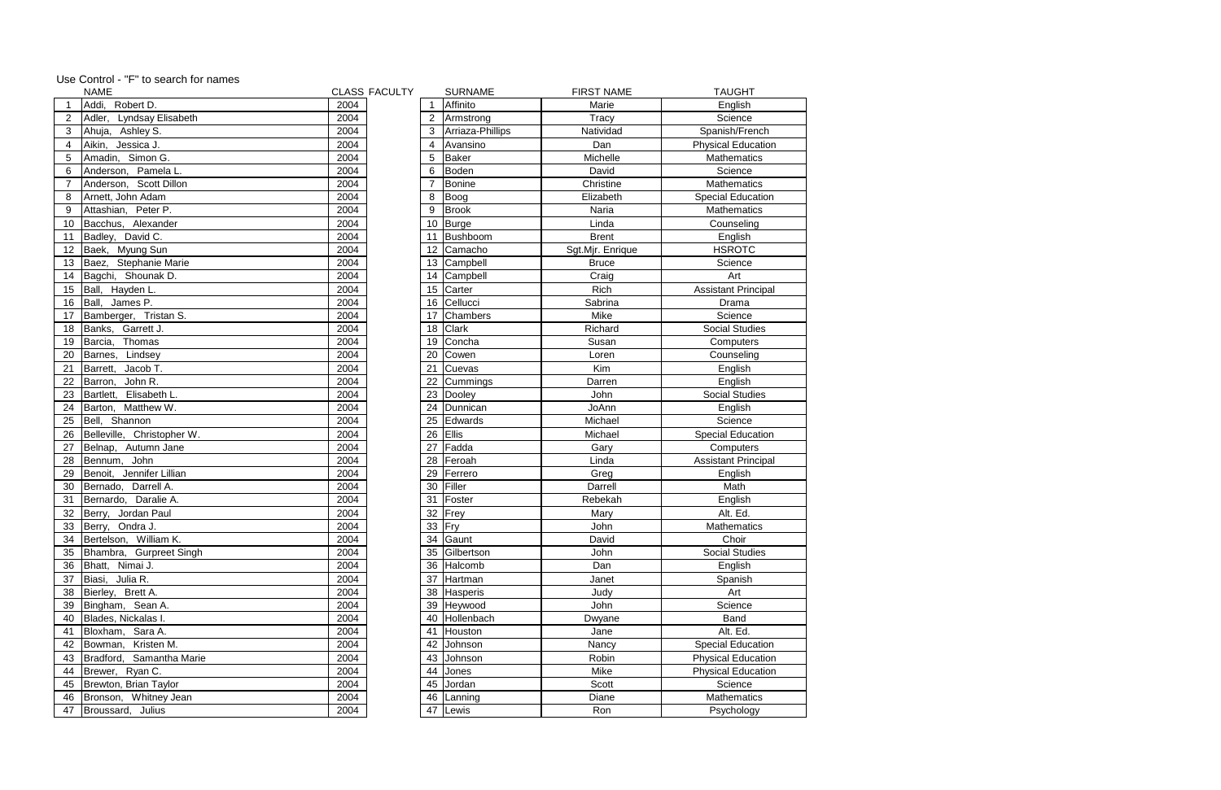|                 | <b>NAME</b>                 |      | <b>CLASS FACULTY</b> |                  | <b>SURNAME</b>   | <b>FIRST NAME</b> | <b>TAUGHT</b>              |
|-----------------|-----------------------------|------|----------------------|------------------|------------------|-------------------|----------------------------|
|                 | Addi, Robert D.             | 2004 |                      |                  | Affinito         | Marie             | English                    |
|                 | Lyndsay Elisabeth<br>Adler, | 2004 |                      |                  | Armstrong        | Tracy             | Science                    |
| 3               | Ahuja, Ashley S.            | 2004 |                      | 3                | Arriaza-Phillips | Natividad         | Spanish/French             |
|                 | Aikin, Jessica J.           | 2004 |                      |                  | Avansino         | Dan               | <b>Physical Education</b>  |
| 5               | Amadin, Simon G.            | 2004 |                      | 5                | Baker            | Michelle          | Mathematics                |
| 6               | Anderson, Pamela L.         | 2004 |                      | 6                | Boden            | David             | Science                    |
|                 | Anderson, Scott Dillon      | 2004 |                      |                  | <b>Bonine</b>    | Christine         | Mathematics                |
| 8               | Arnett, John Adam           | 2004 |                      | 8                | Boog             | Elizabeth         | <b>Special Education</b>   |
| 9               | Attashian, Peter P.         | 2004 |                      | 9                | Brook            | Naria             | Mathematics                |
| 10              | Bacchus, Alexander          | 2004 |                      |                  | 10 Burge         | Linda             | Counseling                 |
| 11              | Badley, David C.            | 2004 |                      | 11               | Bushboom         | <b>Brent</b>      | English                    |
| 12              | Baek, Myung Sun             | 2004 |                      | 12               | Camacho          | Sgt.Mjr. Enrique  | <b>HSROTC</b>              |
| 13              | Baez, Stephanie Marie       | 2004 |                      | 13               | Campbell         | <b>Bruce</b>      | Science                    |
| 14              | Bagchi, Shounak D.          | 2004 |                      | 14               | Campbell         | Craig             | Art                        |
| 15 <sub>1</sub> | Ball, Hayden L.             | 2004 |                      | 15 <sub>15</sub> | Carter           | Rich              | <b>Assistant Principal</b> |
| 16              | Ball, James P.              | 2004 |                      | 16               | Cellucci         | Sabrina           | Drama                      |
| 17              | Bamberger, Tristan S.       | 2004 |                      | 17               | Chambers         | Mike              | Science                    |
| 18              | Banks, Garrett J.           | 2004 |                      | 18               | <b>Clark</b>     | Richard           | <b>Social Studies</b>      |
| 19              | Barcia, Thomas              | 2004 |                      | 19               | Concha           | Susan             | Computers                  |
| 20              | Barnes, Lindsey             | 2004 |                      | 20               | Cowen            | Loren             | Counseling                 |
| 21              | Barrett, Jacob T.           | 2004 |                      | 21               | Cuevas           | Kim               | English                    |
| 22              | John R.<br>Barron,          | 2004 |                      | 22               | Cummings         | Darren            | English                    |
| 23              | Bartlett, Elisabeth L.      | 2004 |                      | 23               | Dooley           | John              | <b>Social Studies</b>      |
| 24              | Barton, Matthew W.          | 2004 |                      | 24               | Dunnican         | JoAnn             | English                    |
| 25              | Bell, Shannon               | 2004 |                      | 25               | Edwards          | Michael           | Science                    |
| 26              | Belleville, Christopher W.  | 2004 |                      | 26               | <b>Ellis</b>     | Michael           | <b>Special Education</b>   |
| 27              | Belnap, Autumn Jane         | 2004 |                      | 27               | Fadda            | Gary              | Computers                  |
| 28              | Bennum, John                | 2004 |                      | 28               | Feroah           | Linda             | <b>Assistant Principal</b> |
| 29              | Benoit, Jennifer Lillian    | 2004 |                      | 29               | Ferrero          | Greg              | English                    |
| 30              | Bernado, Darrell A.         | 2004 |                      | 30               | Filler           | Darrell           | Math                       |
| 31              | Bernardo, Daralie A.        | 2004 |                      | 31               | Foster           | Rebekah           | English                    |
| 32              | Berry, Jordan Paul          | 2004 |                      | 32               | Frey             | Mary              | Alt. Ed.                   |
|                 | 33 Berry, Ondra J.          | 2004 |                      | 33 Fry           |                  | John              | Mathematics                |
|                 | 34   Bertelson, William K.  | 2004 |                      |                  | 34 Gaunt         | David             | Choir                      |
| 35              | Bhambra, Gurpreet Singh     | 2004 |                      |                  | 35 Gilbertson    | John              | <b>Social Studies</b>      |
| 36              | Bhatt, Nimai J.             | 2004 |                      | 36               | Halcomb          | Dan               | English                    |
| 37              | Biasi, Julia R.             | 2004 |                      | 37               | Hartman          | Janet             | Spanish                    |
| 38              | Bierley, Brett A.           | 2004 |                      | 38               | Hasperis         | Judy              | Art                        |
| 39              | Bingham, Sean A.            | 2004 |                      |                  | 39 Heywood       | John              | Science                    |
| 40              | Blades, Nickalas I.         | 2004 |                      | 40               | Hollenbach       | Dwyane            | <b>Band</b>                |
| 41              | Bloxham, Sara A.            | 2004 |                      | 41               | Houston          | Jane              | Alt. Ed.                   |
| 42              | Bowman, Kristen M.          | 2004 |                      | 42               | Johnson          | Nancy             | Special Education          |
| 43              | Bradford, Samantha Marie    | 2004 |                      | 43               | Johnson          | Robin             | <b>Physical Education</b>  |
|                 | 44   Brewer, Ryan C.        | 2004 |                      | 44               | Jones            | Mike              | <b>Physical Education</b>  |
|                 | 45   Brewton, Brian Taylor  | 2004 |                      | 45               | Jordan           | Scott             | Science                    |
| 46              | Bronson, Whitney Jean       | 2004 |                      | 46               | Lanning          | Diane             | <b>Mathematics</b>         |
| 47              | Broussard, Julius           | 2004 |                      | 47               | Lewis            | Ron               | Psychology                 |
|                 |                             |      |                      |                  |                  |                   |                            |

|  | Use Control - "F" to search for names |
|--|---------------------------------------|
|--|---------------------------------------|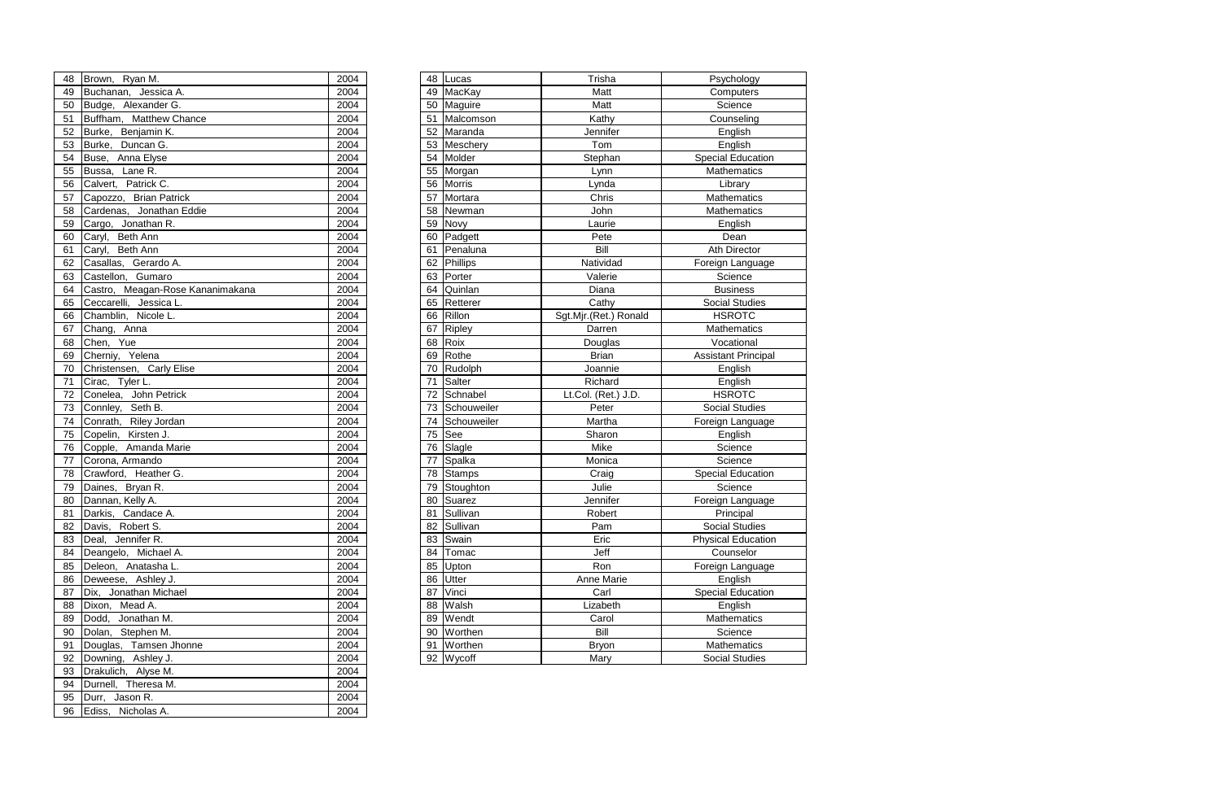| 48 | Brown, Ryan M.                   | 2004 |    | 48 Lucas       | Trisha                | Psychology                 |
|----|----------------------------------|------|----|----------------|-----------------------|----------------------------|
| 49 | Buchanan, Jessica A.             | 2004 | 49 | MacKay         | Matt                  | Computers                  |
| 50 | Budge, Alexander G.              | 2004 |    | 50 Maguire     | Matt                  | Science                    |
| 51 | Buffham, Matthew Chance          | 2004 | 51 | Malcomson      | Kathy                 | Counseling                 |
| 52 | Burke, Benjamin K.               | 2004 |    | 52 Maranda     | Jennifer              | English                    |
| 53 | Burke, Duncan G.                 | 2004 |    | 53 Meschery    | Tom                   | English                    |
| 54 | Buse, Anna Elyse                 | 2004 | 54 | Molder         | Stephan               | <b>Special Education</b>   |
| 55 | Bussa, Lane R.                   | 2004 | 55 | Morgan         | Lynn                  | Mathematics                |
| 56 | Calvert, Patrick C.              | 2004 | 56 | <b>Morris</b>  | Lynda                 | Library                    |
| 57 | Capozzo, Brian Patrick           | 2004 | 57 | Mortara        | Chris                 | Mathematics                |
| 58 | Cardenas, Jonathan Eddie         | 2004 | 58 | Newman         | John                  | Mathematics                |
| 59 | Cargo, Jonathan R.               | 2004 | 59 | Novy           | Laurie                | English                    |
| 60 | Caryl, Beth Ann                  | 2004 | 60 | Padgett        | Pete                  | Dean                       |
| 61 | Caryl, Beth Ann                  | 2004 | 61 | Penaluna       | Bill                  | Ath Director               |
| 62 | Casallas, Gerardo A.             | 2004 |    | 62 Phillips    | Natividad             | Foreign Language           |
| 63 | Castellon, Gumaro                | 2004 |    | 63 Porter      | Valerie               | Science                    |
| 64 | Castro, Meagan-Rose Kananimakana | 2004 | 64 | Quinlan        | Diana                 | <b>Business</b>            |
| 65 | Ceccarelli, Jessica L.           | 2004 | 65 | Retterer       | Cathy                 | <b>Social Studies</b>      |
| 66 | Chamblin, Nicole L.              | 2004 | 66 | Rillon         | Sgt.Mjr.(Ret.) Ronald | <b>HSROTC</b>              |
| 67 | Chang, Anna                      | 2004 | 67 | Ripley         | Darren                | Mathematics                |
| 68 | Chen, Yue                        | 2004 | 68 | Roix           | Douglas               | Vocational                 |
| 69 | Cherniy, Yelena                  | 2004 | 69 | Rothe          | <b>Brian</b>          | <b>Assistant Principal</b> |
| 70 | Christensen, Carly Elise         | 2004 | 70 | Rudolph        | Joannie               | English                    |
| 71 | Cirac, Tyler L.                  | 2004 | 71 | Salter         | Richard               | English                    |
| 72 | Conelea, John Petrick            | 2004 |    | 72 Schnabel    | Lt.Col. (Ret.) J.D.   | <b>HSROTC</b>              |
| 73 | Connley, Seth B.                 | 2004 |    | 73 Schouweiler | Peter                 | <b>Social Studies</b>      |
| 74 | Conrath, Riley Jordan            | 2004 | 74 | Schouweiler    | Martha                | Foreign Language           |
| 75 | Copelin, Kirsten J.              | 2004 | 75 | See            | Sharon                | English                    |
| 76 | Copple, Amanda Marie             | 2004 | 76 | Slagle         | Mike                  | Science                    |
| 77 | Corona, Armando                  | 2004 | 77 | Spalka         | Monica                | Science                    |
| 78 | Crawford, Heather G.             | 2004 |    | 78 Stamps      | Craig                 | <b>Special Education</b>   |
| 79 | Daines, Bryan R.                 | 2004 | 79 | Stoughton      | Julie                 | Science                    |
| 80 | Dannan, Kelly A.                 | 2004 | 80 | Suarez         | Jennifer              | Foreign Language           |
|    | 81 Darkis, Candace A.            | 2004 |    | 81 Sullivan    | Robert                | Principal                  |
| 82 | Davis, Robert S.                 | 2004 |    | 82 Sullivan    | Pam                   | <b>Social Studies</b>      |
| 83 | Deal, Jennifer R.                | 2004 |    | 83 Swain       | Eric                  | <b>Physical Education</b>  |
| 84 | Deangelo, Michael A.             | 2004 |    | 84   Tomac     | Jeff                  | Counselor                  |
| 85 | Deleon, Anatasha L.              | 2004 | 85 | Upton          | Ron                   | Foreign Language           |
| 86 | Deweese, Ashley J.               | 2004 | 86 | Utter          | Anne Marie            | English                    |
| 87 | Dix, Jonathan Michael            | 2004 | 87 | Vinci          | Carl                  | <b>Special Education</b>   |
| 88 | Dixon, Mead A.                   | 2004 | 88 | Walsh          | Lizabeth              | English                    |
| 89 | Dodd, Jonathan M.                | 2004 | 89 | Wendt          | Carol                 | Mathematics                |
| 90 | Dolan, Stephen M.                | 2004 |    | 90 Worthen     | Bill                  | Science                    |
| 91 | Douglas, Tamsen Jhonne           | 2004 | 91 | Worthen        | <b>Bryon</b>          | Mathematics                |
| 92 | Downing, Ashley J.               | 2004 |    | 92 Wycoff      | Mary                  | <b>Social Studies</b>      |
|    |                                  |      |    |                |                       |                            |

| 48       | Brown, Ryan M.                              | 2004         |
|----------|---------------------------------------------|--------------|
| 49       | Buchanan, Jessica A.                        | 2004         |
| 50       | Budge, Alexander G.                         | 2004         |
| 51       | Buffham, Matthew Chance                     | 2004         |
| 52       | Burke, Benjamin K.                          | 2004         |
| 53       | Burke, Duncan G.                            | 2004         |
| 54       | Buse, Anna Elyse                            | 2004         |
| 55       | Bussa, Lane R.                              | 2004         |
| 56       | Calvert, Patrick C.                         | 2004         |
| 57       | Capozzo, Brian Patrick                      | 2004         |
| 58       | Cardenas, Jonathan Eddie                    | 2004         |
| 59       | Cargo, Jonathan R.                          | 2004         |
| 60       | Caryl, Beth Ann                             | 2004         |
| 61       | Caryl, Beth Ann                             | 2004         |
| 62       | Casallas, Gerardo A.                        | 2004         |
| 63       | Castellon, Gumaro                           | 2004         |
| 64       | Castro, Meagan-Rose Kananimakana            | 2004         |
| 65       | Ceccarelli, Jessica L.                      | 2004         |
| 66       | Chamblin, Nicole L.                         | 2004         |
| 67       | Chang, Anna                                 | 2004         |
| 68       | Chen, Yue                                   | 2004         |
| 69       | Cherniy, Yelena                             | 2004         |
| 70       | Christensen, Carly Elise                    | 2004         |
| 71       | Cirac, Tyler L.                             | 2004         |
| 72       | Conelea, John Petrick                       | 2004         |
| 73       | Connley, Seth B.                            | 2004         |
| 74       | Conrath, Riley Jordan                       | 2004         |
| 75       | Copelin, Kirsten J.                         | 2004         |
| 76       | Copple, Amanda Marie                        | 2004         |
| 77       | Corona, Armando                             | 2004         |
| 78       | Crawford, Heather G.                        | 2004         |
| 79       | Daines, Bryan R.                            | 2004         |
| 80       | Dannan, Kelly A.                            | 2004         |
| 81       | Darkis, Candace A.                          | 2004         |
| 82       | Davis, Robert S.                            | 2004         |
| 83       | Deal, Jennifer R.<br>Deangelo, Michael A.   | 2004         |
| 84       | Deleon, Anatasha L.                         | 2004<br>2004 |
| 85       |                                             |              |
| 86<br>87 | Deweese, Ashley J.<br>Dix, Jonathan Michael | 2004<br>2004 |
| 88       | Dixon, Mead A.                              | 2004         |
| 89       | Dodd, Jonathan M.                           | 2004         |
| 90       | Dolan, Stephen M.                           | 2004         |
| 91       | Douglas, Tamsen Jhonne                      | 2004         |
| 92       | Downing, Ashley J.                          | 2004         |
| 93       | Drakulich, Alyse M.                         | 2004         |
| 94       | Durnell, Theresa M.                         | 2004         |
| 95       | Durr, Jason R.                              | 2004         |
| 96       | Ediss, Nicholas A.                          | 2004         |
|          |                                             |              |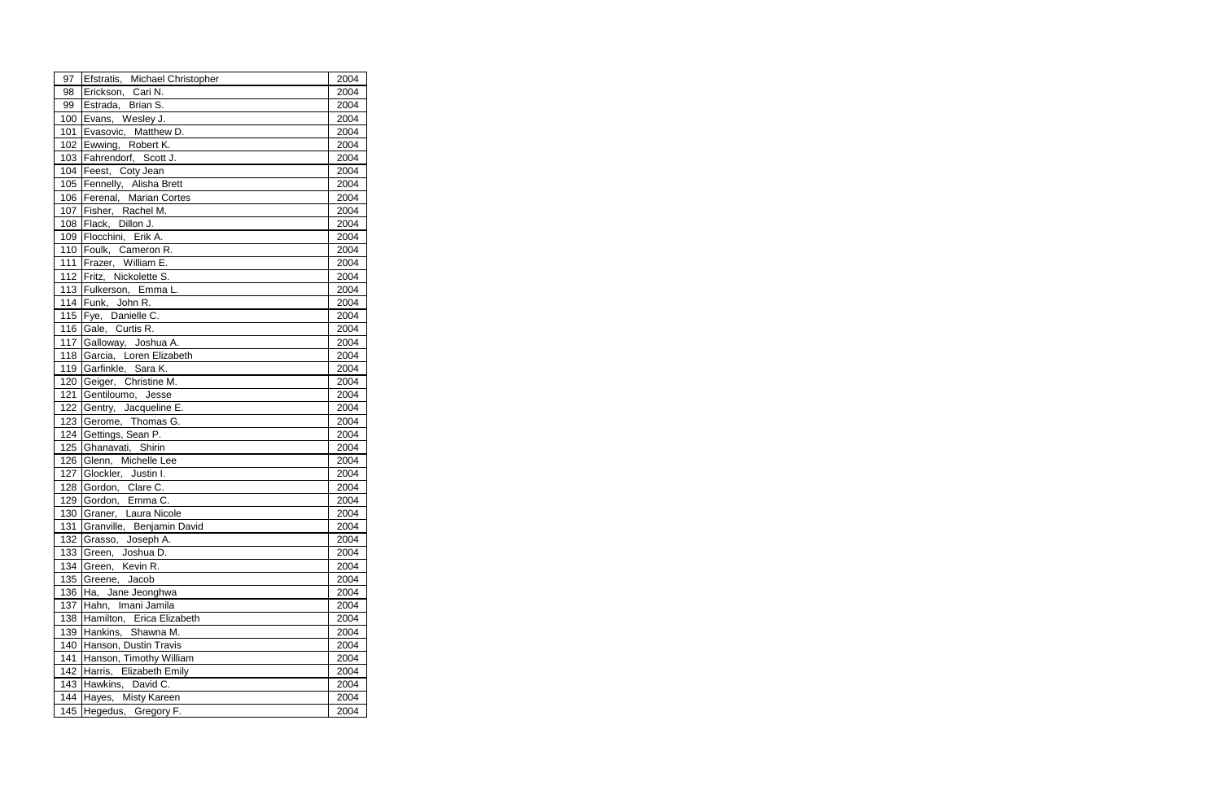| 97  | Efstratis, Michael Christopher    | 2004 |
|-----|-----------------------------------|------|
| 98  | Erickson, Cari N.                 | 2004 |
| 99  | Estrada, Brian S.                 | 2004 |
|     | 100 Evans, Wesley J.              | 2004 |
| 101 | Evasovic, Matthew D.              | 2004 |
|     | 102 Ewwing, Robert K.             | 2004 |
|     | 103 Fahrendorf, Scott J.          | 2004 |
|     | 104   Feest, Coty Jean            | 2004 |
|     | 105 Fennelly, Alisha Brett        | 2004 |
|     | 106 Ferenal, Marian Cortes        | 2004 |
|     | 107 Fisher, Rachel M.             | 2004 |
|     | 108 Flack, Dillon J.              | 2004 |
|     | 109 Flocchini, Erik A.            | 2004 |
|     | 110 Foulk, Cameron R.             | 2004 |
| 111 | Frazer, William E.                | 2004 |
|     | 112 Fritz, Nickolette S.          | 2004 |
|     | 113 Fulkerson, Emma L.            | 2004 |
|     | 114 Funk, John R.                 | 2004 |
| 115 | Fye, Danielle C.                  | 2004 |
|     | 116 Gale, Curtis R.               | 2004 |
| 117 | Galloway, Joshua A.               | 2004 |
|     | 118 Garcia, Loren Elizabeth       | 2004 |
|     | 119 Garfinkle, Sara K.            | 2004 |
|     | 120 Geiger, Christine M.          | 2004 |
| 121 | Gentiloumo, Jesse                 | 2004 |
|     | 122 Gentry, Jacqueline E.         | 2004 |
|     | 123 Gerome, Thomas G.             | 2004 |
|     | 124 Gettings, Sean P.             | 2004 |
|     | 125 Ghanavati, Shirin             | 2004 |
|     | 126 Glenn, Michelle Lee           | 2004 |
| 127 | Glockler, Justin I.               | 2004 |
|     | 128 Gordon, Clare C.              | 2004 |
|     | 129 Gordon, Emma C.               | 2004 |
| 130 | Graner, Laura Nicole              | 2004 |
| 131 | Granville, Benjamin David         | 2004 |
| 132 | Grasso, Joseph A.                 | 2004 |
| 133 | Green, Joshua D.                  | 2004 |
| 134 | Green, Kevin R.                   | 2004 |
| 135 | Greene, Jacob                     | 2004 |
| 136 | Ha, Jane Jeonghwa                 | 2004 |
| 137 | Hahn, Imani Jamila                | 2004 |
| 138 | Hamilton, Erica Elizabeth         | 2004 |
| 139 | Hankins, Shawna M.                | 2004 |
| 140 | Hanson, Dustin Travis             | 2004 |
| 141 | Hanson, Timothy William           | 2004 |
| 142 | <b>Elizabeth Emily</b><br>Harris, | 2004 |
| 143 | Hawkins, David C.                 | 2004 |
|     | 144 Hayes, Misty Kareen           | 2004 |
| 145 | Hegedus, Gregory F.               | 2004 |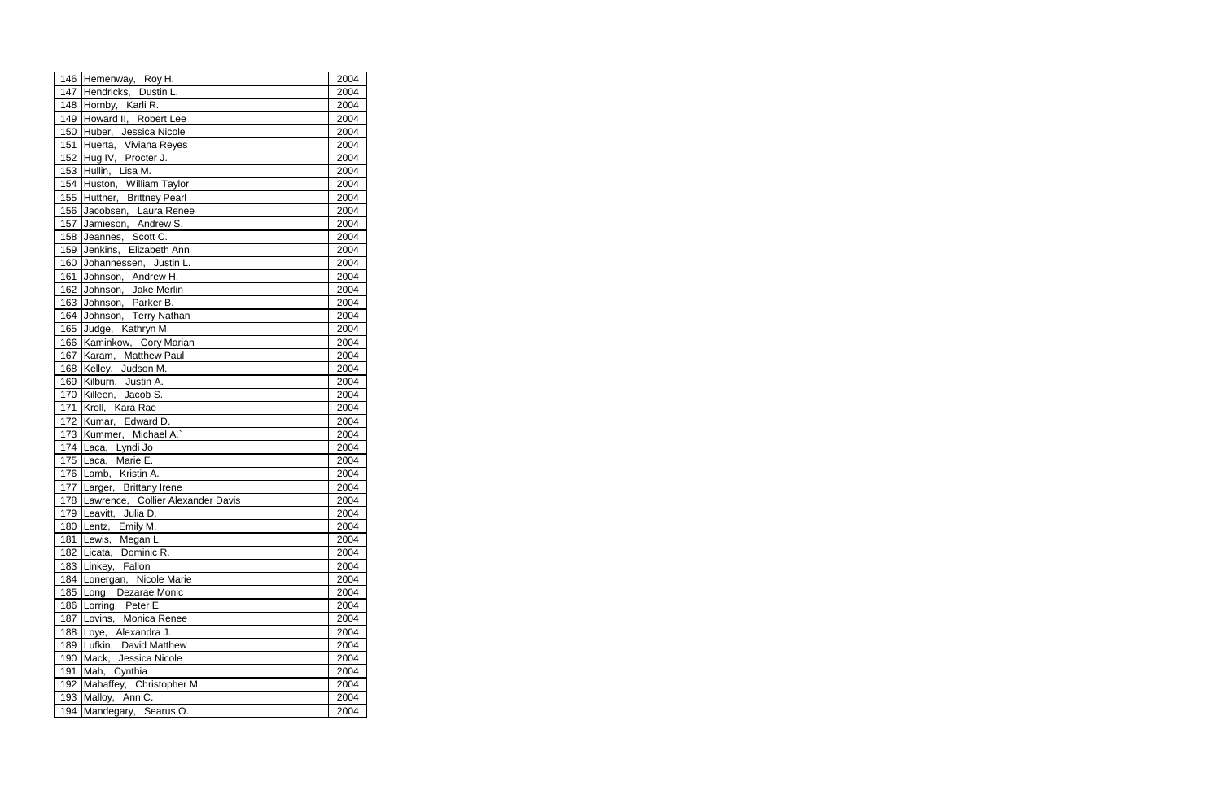|     | 146 Hemenway, Roy H.                  | 2004 |
|-----|---------------------------------------|------|
|     | 147 Hendricks, Dustin L.              | 2004 |
|     | 148 Hornby, Karli R.                  | 2004 |
|     | 149 Howard II, Robert Lee             | 2004 |
|     | 150 Huber, Jessica Nicole             | 2004 |
|     | 151 Huerta, Viviana Reyes             | 2004 |
|     | 152 Hug IV, Procter J.                | 2004 |
|     | 153 Hullin, Lisa M.                   | 2004 |
|     | 154 Huston, William Taylor            | 2004 |
|     | 155 Huttner, Brittney Pearl           | 2004 |
|     | 156 Jacobsen, Laura Renee             | 2004 |
|     | 157 Jamieson, Andrew S.               | 2004 |
|     | 158 Jeannes, Scott C.                 | 2004 |
| 159 | Jenkins, Elizabeth Ann                | 2004 |
| 160 | Johannessen, Justin L.                | 2004 |
| 161 | Johnson, Andrew H.                    | 2004 |
|     | 162 Johnson, Jake Merlin              | 2004 |
|     | 163 Johnson, Parker B.                | 2004 |
| 164 | Johnson, Terry Nathan                 | 2004 |
| 165 | Judge, Kathryn M.                     | 2004 |
|     | 166 Kaminkow, Cory Marian             | 2004 |
|     | 167 Karam, Matthew Paul               | 2004 |
|     | 168 Kelley, Judson M.                 | 2004 |
|     | 169 Kilburn, Justin A.                | 2004 |
|     | 170 Killeen, Jacob S.                 | 2004 |
| 171 | Kroll, Kara Rae                       | 2004 |
|     | 172 Kumar, Edward D.                  | 2004 |
|     | 173 Kummer, Michael A.                | 2004 |
| 174 | Laca, Lyndi Jo                        | 2004 |
|     | 175 Laca, Marie E.                    | 2004 |
|     | 176 Lamb, Kristin A.                  | 2004 |
|     | 177 Larger, Brittany Irene            | 2004 |
|     | 178 Lawrence, Collier Alexander Davis | 2004 |
|     | 179 Leavitt, Julia D.                 | 2004 |
| 180 | Lentz, Emily M.                       | 2004 |
| 181 | Lewis,<br>Megan L.                    | 2004 |
|     | 182 Licata, Dominic R.                | 2004 |
|     | 183 Linkey, Fallon                    | 2004 |
| 184 | Lonergan, Nicole Marie                | 2004 |
| 185 | Dezarae Monic<br>Long,                | 2004 |
| 186 | Lorring,<br>Peter E.                  | 2004 |
| 187 | Lovins, Monica Renee                  | 2004 |
| 188 | Loye, Alexandra J.                    | 2004 |
| 189 | Lufkin, David Matthew                 | 2004 |
| 190 | Mack, Jessica Nicole                  | 2004 |
| 191 | Mah,<br>Cynthia                       | 2004 |
|     | 192 Mahaffey, Christopher M.          | 2004 |
| 193 | Malloy, Ann C.                        | 2004 |
| 194 | Mandegary, Searus O.                  | 2004 |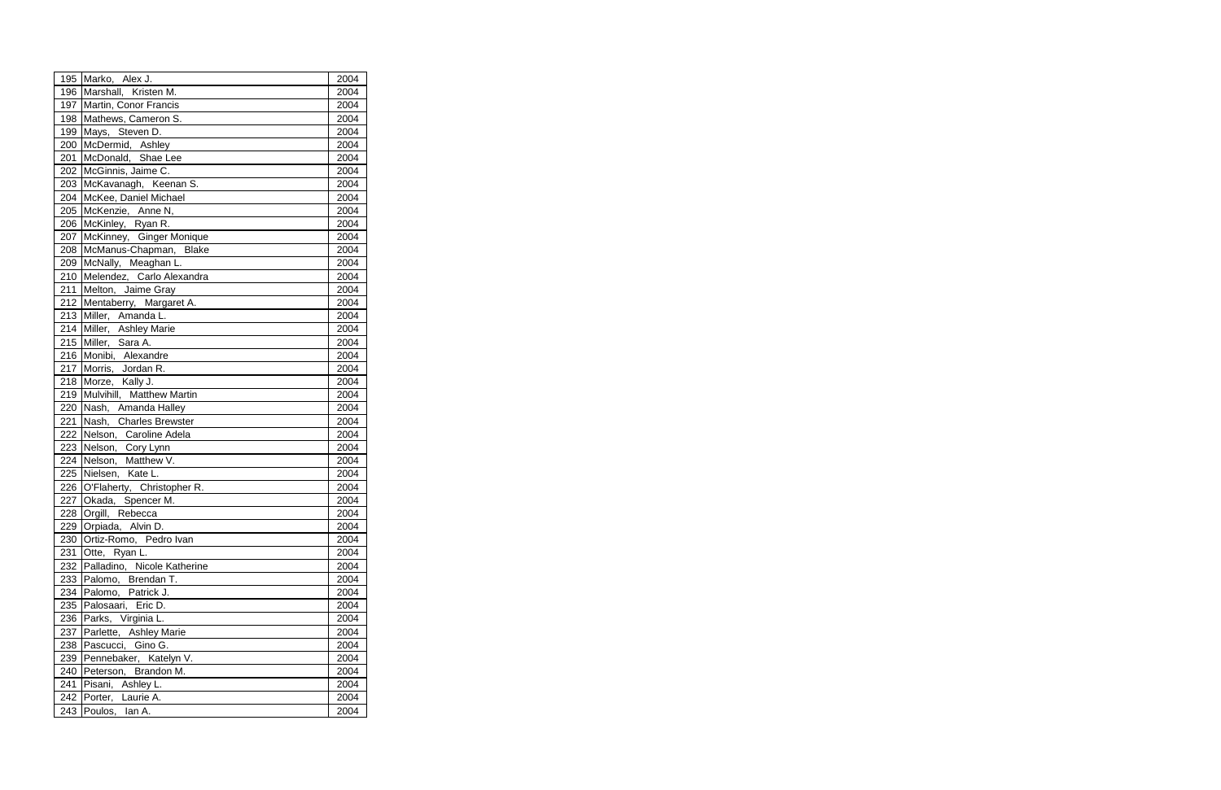| 195 Marko, Alex J.              | 2004 |
|---------------------------------|------|
| 196 Marshall, Kristen M.        | 2004 |
| 197 Martin, Conor Francis       | 2004 |
| 198 Mathews, Cameron S.         | 2004 |
| 199 Mays, Steven D.             | 2004 |
| 200 McDermid, Ashley            | 2004 |
| 201 McDonald, Shae Lee          | 2004 |
| 202 McGinnis, Jaime C.          | 2004 |
| 203 McKavanagh, Keenan S.       | 2004 |
| 204 McKee, Daniel Michael       | 2004 |
| 205 McKenzie, Anne N,           | 2004 |
| 206 McKinley, Ryan R.           | 2004 |
| 207 McKinney, Ginger Monique    | 2004 |
| 208 McManus-Chapman, Blake      | 2004 |
| 209 McNally, Meaghan L.         | 2004 |
| 210 Melendez, Carlo Alexandra   | 2004 |
| 211 Melton, Jaime Gray          | 2004 |
| 212 Mentaberry, Margaret A.     | 2004 |
| 213 Miller, Amanda L.           | 2004 |
| 214 Miller, Ashley Marie        | 2004 |
| 215 Miller, Sara A.             | 2004 |
| 216 Monibi, Alexandre           | 2004 |
| 217 Morris, Jordan R.           | 2004 |
| 218 Morze, Kally J.             | 2004 |
| 219 Mulvihill, Matthew Martin   | 2004 |
| 220 Nash, Amanda Halley         | 2004 |
| 221 Nash, Charles Brewster      | 2004 |
| 222 Nelson, Caroline Adela      | 2004 |
| 223 Nelson, Cory Lynn           | 2004 |
| 224 Nelson, Matthew V.          | 2004 |
| 225 Nielsen, Kate L.            | 2004 |
| 226 O'Flaherty, Christopher R.  | 2004 |
| 227 Okada, Spencer M.           | 2004 |
| 228 Orgill, Rebecca             | 2004 |
| 229 Orpiada, Alvin D.           | 2004 |
| 230 Ortiz-Romo, Pedro Ivan      | 2004 |
| 231 Otte, Ryan L.               | 2004 |
| 232 Palladino, Nicole Katherine | 2004 |
| 233 Palomo, Brendan T.          | 2004 |
| 234 Palomo, Patrick J.          | 2004 |
| 235 Palosaari, Eric D.          | 2004 |
| 236 Parks, Virginia L.          | 2004 |
| 237 Parlette, Ashley Marie      | 2004 |
| 238 Pascucci, Gino G.           | 2004 |
| 239 Pennebaker, Katelyn V.      | 2004 |
| 240 Peterson, Brandon M.        | 2004 |
| 241 Pisani, Ashley L.           | 2004 |
| 242 Porter, Laurie A.           | 2004 |
| 243 Poulos, Ian A.              | 2004 |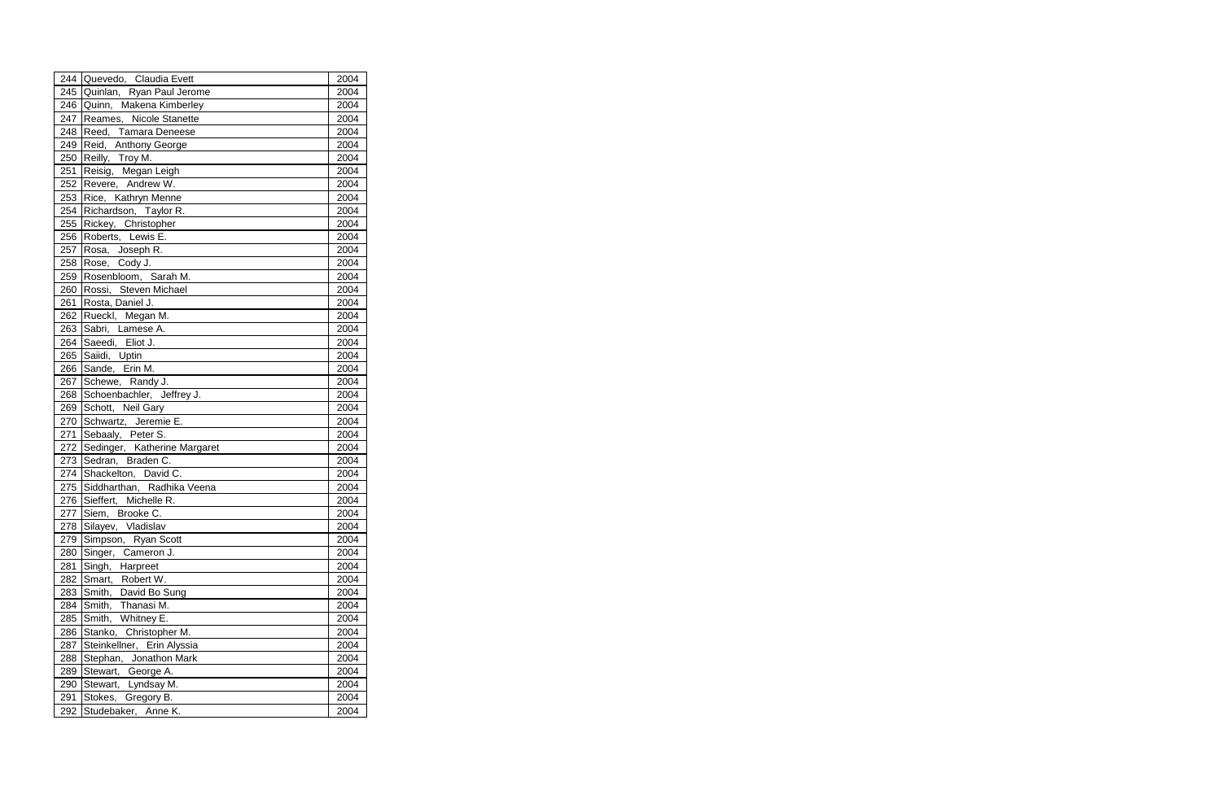|     | 244 Quevedo, Claudia Evett     | 2004 |
|-----|--------------------------------|------|
|     | 245 Quinlan, Ryan Paul Jerome  | 2004 |
|     | 246 Quinn, Makena Kimberley    | 2004 |
| 247 | Reames, Nicole Stanette        | 2004 |
| 248 | Reed, Tamara Deneese           | 2004 |
| 249 | Reid, Anthony George           | 2004 |
| 250 | Reilly, Troy M.                | 2004 |
| 251 | Reisig, Megan Leigh            | 2004 |
| 252 | Revere, Andrew W.              | 2004 |
| 253 | Rice, Kathryn Menne            | 2004 |
|     | 254 Richardson, Taylor R.      | 2004 |
| 255 | Rickey, Christopher            | 2004 |
|     | 256 Roberts, Lewis E.          | 2004 |
| 257 | Rosa, Joseph R.                | 2004 |
| 258 | Rose, Cody J.                  | 2004 |
| 259 | Rosenbloom, Sarah M.           | 2004 |
| 260 | Rossi, Steven Michael          | 2004 |
| 261 | Rosta, Daniel J.               | 2004 |
| 262 | Rueckl, Megan M.               | 2004 |
| 263 | Sabri, Lamese A.               | 2004 |
| 264 | Saeedi, Eliot J.               | 2004 |
| 265 | Saiidi, Uptin                  | 2004 |
| 266 | Sande, Erin M.                 | 2004 |
| 267 | Schewe, Randy J.               | 2004 |
| 268 | Schoenbachler, Jeffrey J.      | 2004 |
| 269 | Schott, Neil Gary              | 2004 |
| 270 | Schwartz, Jeremie E.           | 2004 |
| 271 | Sebaaly, Peter S.              | 2004 |
| 272 | Sedinger, Katherine Margaret   | 2004 |
| 273 | Sedran, Braden C.              | 2004 |
| 274 | Shackelton, David C.           | 2004 |
|     | 275 Siddharthan, Radhika Veena | 2004 |
|     | 276 Sieffert, Michelle R.      | 2004 |
|     | 277 Siem, Brooke C.            | 2004 |
| 278 | Silayev, Vladislav             | 2004 |
| 279 | Simpson, Ryan Scott            | 2004 |
| 280 | Singer, Cameron J.             | 2004 |
| 281 | Singh, Harpreet                | 2004 |
| 282 | Smart, Robert W.               | 2004 |
| 283 | Smith, David Bo Sung           | 2004 |
| 284 | Smith, Thanasi M.              | 2004 |
| 285 | Smith, Whitney E.              | 2004 |
| 286 | Stanko, Christopher M.         | 2004 |
| 287 | Steinkellner, Erin Alyssia     | 2004 |
| 288 | Stephan, Jonathon Mark         | 2004 |
| 289 | Stewart, George A.             | 2004 |
| 290 | Stewart, Lyndsay M.            | 2004 |
| 291 | Stokes, Gregory B.             | 2004 |
| 292 | Studebaker, Anne K.            | 2004 |